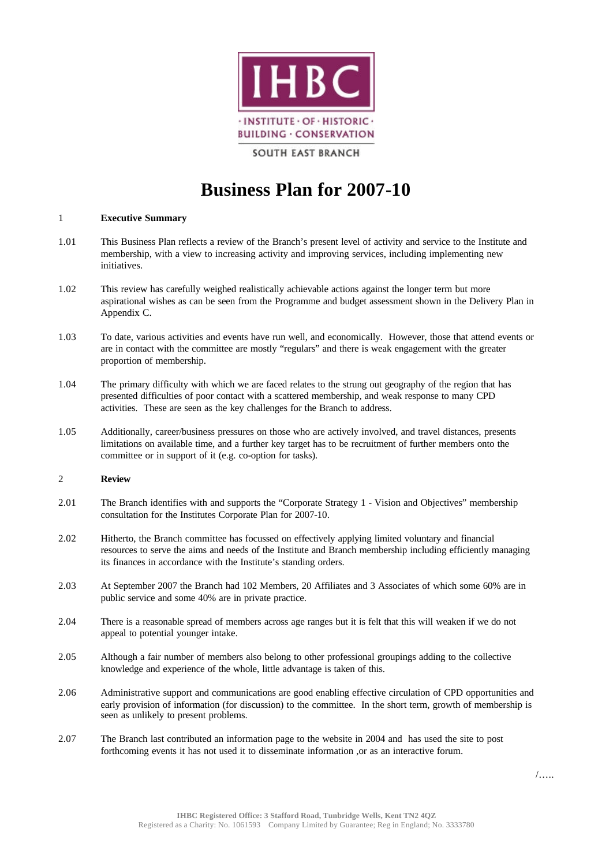

# **SOUTH EAST BRANCH**

# **Business Plan for 2007-10**

### 1 **Executive Summary**

- 1.01 This Business Plan reflects a review of the Branch's present level of activity and service to the Institute and membership, with a view to increasing activity and improving services, including implementing new initiatives.
- 1.02 This review has carefully weighed realistically achievable actions against the longer term but more aspirational wishes as can be seen from the Programme and budget assessment shown in the Delivery Plan in Appendix C.
- 1.03 To date, various activities and events have run well, and economically. However, those that attend events or are in contact with the committee are mostly "regulars" and there is weak engagement with the greater proportion of membership.
- 1.04 The primary difficulty with which we are faced relates to the strung out geography of the region that has presented difficulties of poor contact with a scattered membership, and weak response to many CPD activities. These are seen as the key challenges for the Branch to address.
- 1.05 Additionally, career/business pressures on those who are actively involved, and travel distances, presents limitations on available time, and a further key target has to be recruitment of further members onto the committee or in support of it (e.g. co-option for tasks).

## 2 **Review**

- 2.01 The Branch identifies with and supports the "Corporate Strategy 1 Vision and Objectives" membership consultation for the Institutes Corporate Plan for 2007-10.
- 2.02 Hitherto, the Branch committee has focussed on effectively applying limited voluntary and financial resources to serve the aims and needs of the Institute and Branch membership including efficiently managing its finances in accordance with the Institute's standing orders.
- 2.03 At September 2007 the Branch had 102 Members, 20 Affiliates and 3 Associates of which some 60% are in public service and some 40% are in private practice.
- 2.04 There is a reasonable spread of members across age ranges but it is felt that this will weaken if we do not appeal to potential younger intake.
- 2.05 Although a fair number of members also belong to other professional groupings adding to the collective knowledge and experience of the whole, little advantage is taken of this.
- 2.06 Administrative support and communications are good enabling effective circulation of CPD opportunities and early provision of information (for discussion) to the committee. In the short term, growth of membership is seen as unlikely to present problems.
- 2.07 The Branch last contributed an information page to the website in 2004 and has used the site to post forthcoming events it has not used it to disseminate information ,or as an interactive forum.

/…..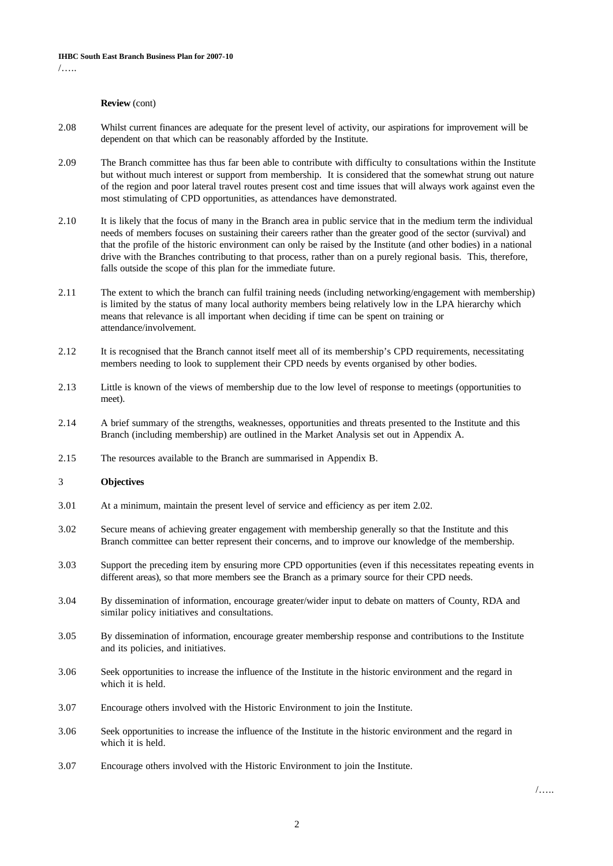# **Review** (cont)

- 2.08 Whilst current finances are adequate for the present level of activity, our aspirations for improvement will be dependent on that which can be reasonably afforded by the Institute.
- 2.09 The Branch committee has thus far been able to contribute with difficulty to consultations within the Institute but without much interest or support from membership. It is considered that the somewhat strung out nature of the region and poor lateral travel routes present cost and time issues that will always work against even the most stimulating of CPD opportunities, as attendances have demonstrated.
- 2.10 It is likely that the focus of many in the Branch area in public service that in the medium term the individual needs of members focuses on sustaining their careers rather than the greater good of the sector (survival) and that the profile of the historic environment can only be raised by the Institute (and other bodies) in a national drive with the Branches contributing to that process, rather than on a purely regional basis. This, therefore, falls outside the scope of this plan for the immediate future.
- 2.11 The extent to which the branch can fulfil training needs (including networking/engagement with membership) is limited by the status of many local authority members being relatively low in the LPA hierarchy which means that relevance is all important when deciding if time can be spent on training or attendance/involvement.
- 2.12 It is recognised that the Branch cannot itself meet all of its membership's CPD requirements, necessitating members needing to look to supplement their CPD needs by events organised by other bodies.
- 2.13 Little is known of the views of membership due to the low level of response to meetings (opportunities to meet).
- 2.14 A brief summary of the strengths, weaknesses, opportunities and threats presented to the Institute and this Branch (including membership) are outlined in the Market Analysis set out in Appendix A.
- 2.15 The resources available to the Branch are summarised in Appendix B.

### 3 **Objectives**

- 3.01 At a minimum, maintain the present level of service and efficiency as per item 2.02.
- 3.02 Secure means of achieving greater engagement with membership generally so that the Institute and this Branch committee can better represent their concerns, and to improve our knowledge of the membership.
- 3.03 Support the preceding item by ensuring more CPD opportunities (even if this necessitates repeating events in different areas), so that more members see the Branch as a primary source for their CPD needs.
- 3.04 By dissemination of information, encourage greater/wider input to debate on matters of County, RDA and similar policy initiatives and consultations.
- 3.05 By dissemination of information, encourage greater membership response and contributions to the Institute and its policies, and initiatives.
- 3.06 Seek opportunities to increase the influence of the Institute in the historic environment and the regard in which it is held.
- 3.07 Encourage others involved with the Historic Environment to join the Institute.
- 3.06 Seek opportunities to increase the influence of the Institute in the historic environment and the regard in which it is held.
- 3.07 Encourage others involved with the Historic Environment to join the Institute.